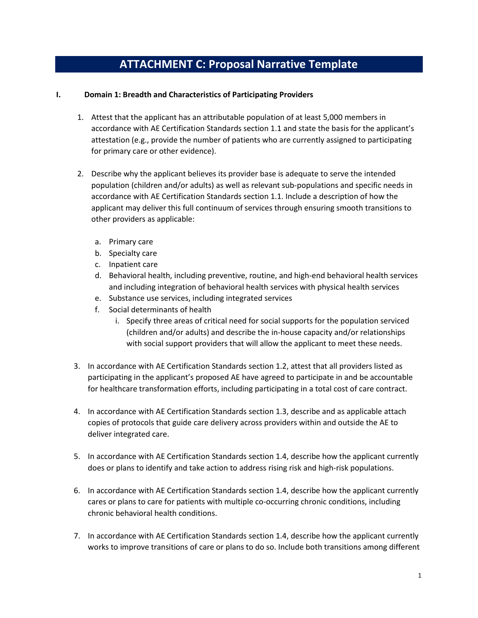# **ATTACHMENT C: Proposal Narrative Template**

# **I. Domain 1: Breadth and Characteristics of Participating Providers**

- 1. Attest that the applicant has an attributable population of at least 5,000 members in accordance with AE Certification Standards section 1.1 and state the basis for the applicant's attestation (e.g., provide the number of patients who are currently assigned to participating for primary care or other evidence).
- 2. Describe why the applicant believes its provider base is adequate to serve the intended population (children and/or adults) as well as relevant sub-populations and specific needs in accordance with AE Certification Standards section 1.1. Include a description of how the applicant may deliver this full continuum of services through ensuring smooth transitions to other providers as applicable:
	- a. Primary care
	- b. Specialty care
	- c. Inpatient care
	- d. Behavioral health, including preventive, routine, and high-end behavioral health services and including integration of behavioral health services with physical health services
	- e. Substance use services, including integrated services
	- f. Social determinants of health
		- i. Specify three areas of critical need for social supports for the population serviced (children and/or adults) and describe the in-house capacity and/or relationships with social support providers that will allow the applicant to meet these needs.
- 3. In accordance with AE Certification Standards section 1.2, attest that all providers listed as participating in the applicant's proposed AE have agreed to participate in and be accountable for healthcare transformation efforts, including participating in a total cost of care contract.
- 4. In accordance with AE Certification Standards section 1.3, describe and as applicable attach copies of protocols that guide care delivery across providers within and outside the AE to deliver integrated care.
- 5. In accordance with AE Certification Standards section 1.4, describe how the applicant currently does or plans to identify and take action to address rising risk and high-risk populations.
- 6. In accordance with AE Certification Standards section 1.4, describe how the applicant currently cares or plans to care for patients with multiple co-occurring chronic conditions, including chronic behavioral health conditions.
- 7. In accordance with AE Certification Standards section 1.4, describe how the applicant currently works to improve transitions of care or plans to do so. Include both transitions among different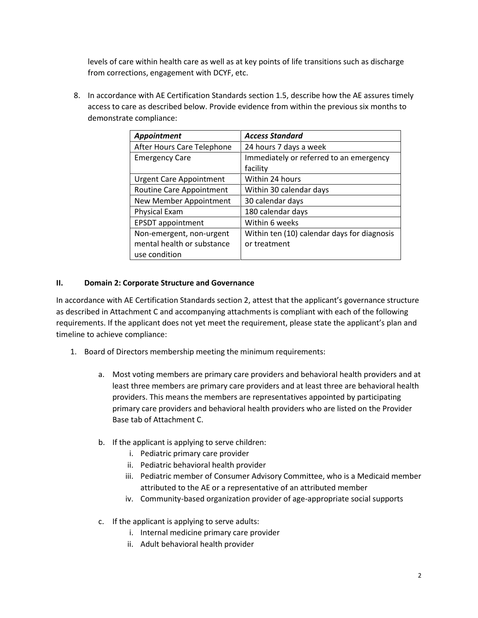levels of care within health care as well as at key points of life transitions such as discharge from corrections, engagement with DCYF, etc.

8. In accordance with AE Certification Standards section 1.5, describe how the AE assures timely access to care as described below. Provide evidence from within the previous six months to demonstrate compliance:

| Appointment                    | <b>Access Standard</b>                      |
|--------------------------------|---------------------------------------------|
| After Hours Care Telephone     | 24 hours 7 days a week                      |
| <b>Emergency Care</b>          | Immediately or referred to an emergency     |
|                                | facility                                    |
| <b>Urgent Care Appointment</b> | Within 24 hours                             |
| Routine Care Appointment       | Within 30 calendar days                     |
| New Member Appointment         | 30 calendar days                            |
| <b>Physical Exam</b>           | 180 calendar days                           |
| <b>EPSDT</b> appointment       | Within 6 weeks                              |
| Non-emergent, non-urgent       | Within ten (10) calendar days for diagnosis |
| mental health or substance     | or treatment                                |
| use condition                  |                                             |

# **II. Domain 2: Corporate Structure and Governance**

In accordance with AE Certification Standards section 2, attest that the applicant's governance structure as described in Attachment C and accompanying attachments is compliant with each of the following requirements. If the applicant does not yet meet the requirement, please state the applicant's plan and timeline to achieve compliance:

- 1. Board of Directors membership meeting the minimum requirements:
	- a. Most voting members are primary care providers and behavioral health providers and at least three members are primary care providers and at least three are behavioral health providers. This means the members are representatives appointed by participating primary care providers and behavioral health providers who are listed on the Provider Base tab of Attachment C.
	- b. If the applicant is applying to serve children:
		- i. Pediatric primary care provider
		- ii. Pediatric behavioral health provider
		- iii. Pediatric member of Consumer Advisory Committee, who is a Medicaid member attributed to the AE or a representative of an attributed member
		- iv. Community-based organization provider of age-appropriate social supports
	- c. If the applicant is applying to serve adults:
		- i. Internal medicine primary care provider
		- ii. Adult behavioral health provider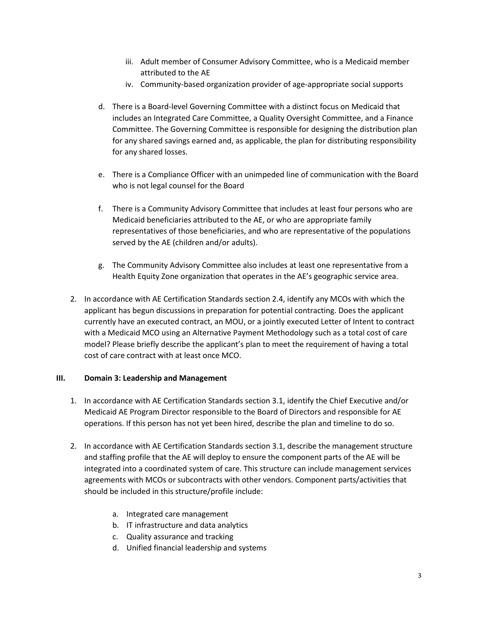- iii. Adult member of Consumer Advisory Committee, who is a Medicaid member attributed to the AE
- iv. Community-based organization provider of age-appropriate social supports
- d. There is a Board-level Governing Committee with a distinct focus on Medicaid that includes an Integrated Care Committee, a Quality Oversight Committee, and a Finance Committee. The Governing Committee is responsible for designing the distribution plan for any shared savings earned and, as applicable, the plan for distributing responsibility for any shared losses.
- e. There is a Compliance Officer with an unimpeded line of communication with the Board who is not legal counsel for the Board
- f. There is a Community Advisory Committee that includes at least four persons who are Medicaid beneficiaries attributed to the AE, or who are appropriate family representatives of those beneficiaries, and who are representative of the populations served by the AE (children and/or adults).
- g. The Community Advisory Committee also includes at least one representative from a Health Equity Zone organization that operates in the AE's geographic service area.
- 2. In accordance with AE Certification Standards section 2.4, identify any MCOs with which the applicant has begun discussions in preparation for potential contracting. Does the applicant currently have an executed contract, an MOU, or a jointly executed Letter of Intent to contract with a Medicaid MCO using an Alternative Payment Methodology such as a total cost of care model? Please briefly describe the applicant's plan to meet the requirement of having a total cost of care contract with at least once MCO.

#### **III. Domain 3: Leadership and Management**

- 1. In accordance with AE Certification Standards section 3.1, identify the Chief Executive and/or Medicaid AE Program Director responsible to the Board of Directors and responsible for AE operations. If this person has not yet been hired, describe the plan and timeline to do so.
- 2. In accordance with AE Certification Standards section 3.1, describe the management structure and staffing profile that the AE will deploy to ensure the component parts of the AE will be integrated into a coordinated system of care. This structure can include management services agreements with MCOs or subcontracts with other vendors. Component parts/activities that should be included in this structure/profile include:
	- a. Integrated care management
	- b. IT infrastructure and data analytics
	- c. Quality assurance and tracking
	- d. Unified financial leadership and systems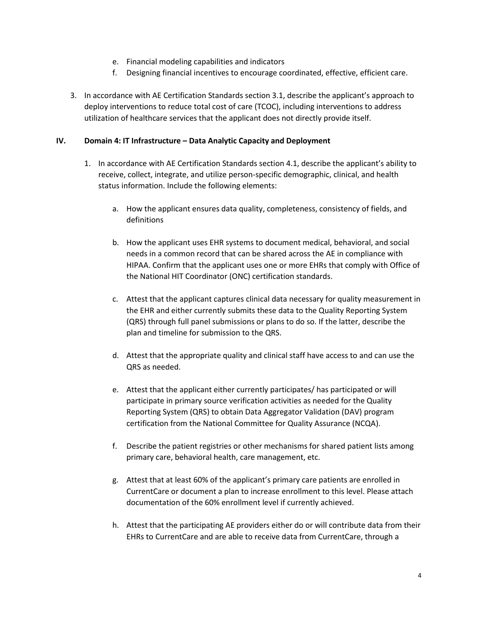- e. Financial modeling capabilities and indicators
- f. Designing financial incentives to encourage coordinated, effective, efficient care.
- 3. In accordance with AE Certification Standards section 3.1, describe the applicant's approach to deploy interventions to reduce total cost of care (TCOC), including interventions to address utilization of healthcare services that the applicant does not directly provide itself.

#### **IV. Domain 4: IT Infrastructure – Data Analytic Capacity and Deployment**

- 1. In accordance with AE Certification Standards section 4.1, describe the applicant's ability to receive, collect, integrate, and utilize person-specific demographic, clinical, and health status information. Include the following elements:
	- a. How the applicant ensures data quality, completeness, consistency of fields, and definitions
	- b. How the applicant uses EHR systems to document medical, behavioral, and social needs in a common record that can be shared across the AE in compliance with HIPAA. Confirm that the applicant uses one or more EHRs that comply with Office of the National HIT Coordinator (ONC) certification standards.
	- c. Attest that the applicant captures clinical data necessary for quality measurement in the EHR and either currently submits these data to the Quality Reporting System (QRS) through full panel submissions or plans to do so. If the latter, describe the plan and timeline for submission to the QRS.
	- d. Attest that the appropriate quality and clinical staff have access to and can use the QRS as needed.
	- e. Attest that the applicant either currently participates/ has participated or will participate in primary source verification activities as needed for the Quality Reporting System (QRS) to obtain Data Aggregator Validation (DAV) program certification from the National Committee for Quality Assurance (NCQA).
	- f. Describe the patient registries or other mechanisms for shared patient lists among primary care, behavioral health, care management, etc.
	- g. Attest that at least 60% of the applicant's primary care patients are enrolled in CurrentCare or document a plan to increase enrollment to this level. Please attach documentation of the 60% enrollment level if currently achieved.
	- h. Attest that the participating AE providers either do or will contribute data from their EHRs to CurrentCare and are able to receive data from CurrentCare, through a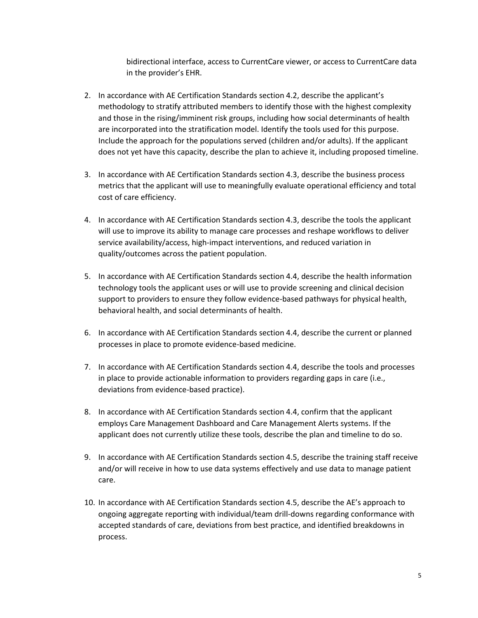bidirectional interface, access to CurrentCare viewer, or access to CurrentCare data in the provider's EHR.

- 2. In accordance with AE Certification Standards section 4.2, describe the applicant's methodology to stratify attributed members to identify those with the highest complexity and those in the rising/imminent risk groups, including how social determinants of health are incorporated into the stratification model. Identify the tools used for this purpose. Include the approach for the populations served (children and/or adults). If the applicant does not yet have this capacity, describe the plan to achieve it, including proposed timeline.
- 3. In accordance with AE Certification Standards section 4.3, describe the business process metrics that the applicant will use to meaningfully evaluate operational efficiency and total cost of care efficiency.
- 4. In accordance with AE Certification Standards section 4.3, describe the tools the applicant will use to improve its ability to manage care processes and reshape workflows to deliver service availability/access, high-impact interventions, and reduced variation in quality/outcomes across the patient population.
- 5. In accordance with AE Certification Standards section 4.4, describe the health information technology tools the applicant uses or will use to provide screening and clinical decision support to providers to ensure they follow evidence-based pathways for physical health, behavioral health, and social determinants of health.
- 6. In accordance with AE Certification Standards section 4.4, describe the current or planned processes in place to promote evidence-based medicine.
- 7. In accordance with AE Certification Standards section 4.4, describe the tools and processes in place to provide actionable information to providers regarding gaps in care (i.e., deviations from evidence-based practice).
- 8. In accordance with AE Certification Standards section 4.4, confirm that the applicant employs Care Management Dashboard and Care Management Alerts systems. If the applicant does not currently utilize these tools, describe the plan and timeline to do so.
- 9. In accordance with AE Certification Standards section 4.5, describe the training staff receive and/or will receive in how to use data systems effectively and use data to manage patient care.
- 10. In accordance with AE Certification Standards section 4.5, describe the AE's approach to ongoing aggregate reporting with individual/team drill-downs regarding conformance with accepted standards of care, deviations from best practice, and identified breakdowns in process.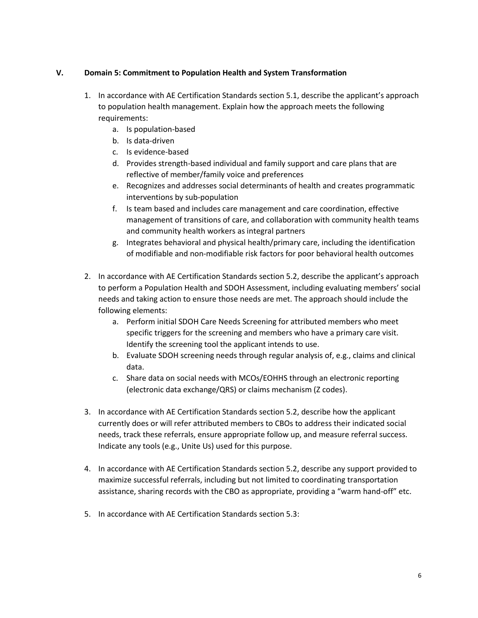# **V. Domain 5: Commitment to Population Health and System Transformation**

- 1. In accordance with AE Certification Standards section 5.1, describe the applicant's approach to population health management. Explain how the approach meets the following requirements:
	- a. Is population-based
	- b. Is data-driven
	- c. Is evidence-based
	- d. Provides strength-based individual and family support and care plans that are reflective of member/family voice and preferences
	- e. Recognizes and addresses social determinants of health and creates programmatic interventions by sub-population
	- f. Is team based and includes care management and care coordination, effective management of transitions of care, and collaboration with community health teams and community health workers as integral partners
	- g. Integrates behavioral and physical health/primary care, including the identification of modifiable and non-modifiable risk factors for poor behavioral health outcomes
- 2. In accordance with AE Certification Standards section 5.2, describe the applicant's approach to perform a Population Health and SDOH Assessment, including evaluating members' social needs and taking action to ensure those needs are met. The approach should include the following elements:
	- a. Perform initial SDOH Care Needs Screening for attributed members who meet specific triggers for the screening and members who have a primary care visit. Identify the screening tool the applicant intends to use.
	- b. Evaluate SDOH screening needs through regular analysis of, e.g., claims and clinical data.
	- c. Share data on social needs with MCOs/EOHHS through an electronic reporting (electronic data exchange/QRS) or claims mechanism (Z codes).
- 3. In accordance with AE Certification Standards section 5.2, describe how the applicant currently does or will refer attributed members to CBOs to address their indicated social needs, track these referrals, ensure appropriate follow up, and measure referral success. Indicate any tools (e.g., Unite Us) used for this purpose.
- 4. In accordance with AE Certification Standards section 5.2, describe any support provided to maximize successful referrals, including but not limited to coordinating transportation assistance, sharing records with the CBO as appropriate, providing a "warm hand-off" etc.
- 5. In accordance with AE Certification Standards section 5.3: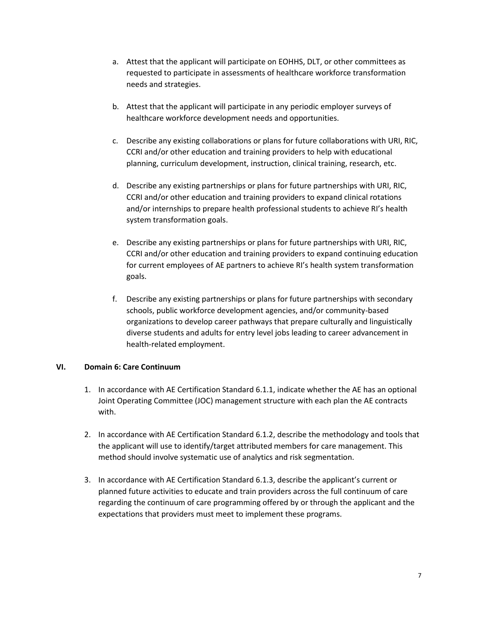- a. Attest that the applicant will participate on EOHHS, DLT, or other committees as requested to participate in assessments of healthcare workforce transformation needs and strategies.
- b. Attest that the applicant will participate in any periodic employer surveys of healthcare workforce development needs and opportunities.
- c. Describe any existing collaborations or plans for future collaborations with URI, RIC, CCRI and/or other education and training providers to help with educational planning, curriculum development, instruction, clinical training, research, etc.
- d. Describe any existing partnerships or plans for future partnerships with URI, RIC, CCRI and/or other education and training providers to expand clinical rotations and/or internships to prepare health professional students to achieve RI's health system transformation goals.
- e. Describe any existing partnerships or plans for future partnerships with URI, RIC, CCRI and/or other education and training providers to expand continuing education for current employees of AE partners to achieve RI's health system transformation goals.
- f. Describe any existing partnerships or plans for future partnerships with secondary schools, public workforce development agencies, and/or community-based organizations to develop career pathways that prepare culturally and linguistically diverse students and adults for entry level jobs leading to career advancement in health-related employment.

# **VI. Domain 6: Care Continuum**

- 1. In accordance with AE Certification Standard 6.1.1, indicate whether the AE has an optional Joint Operating Committee (JOC) management structure with each plan the AE contracts with.
- 2. In accordance with AE Certification Standard 6.1.2, describe the methodology and tools that the applicant will use to identify/target attributed members for care management. This method should involve systematic use of analytics and risk segmentation.
- 3. In accordance with AE Certification Standard 6.1.3, describe the applicant's current or planned future activities to educate and train providers across the full continuum of care regarding the continuum of care programming offered by or through the applicant and the expectations that providers must meet to implement these programs.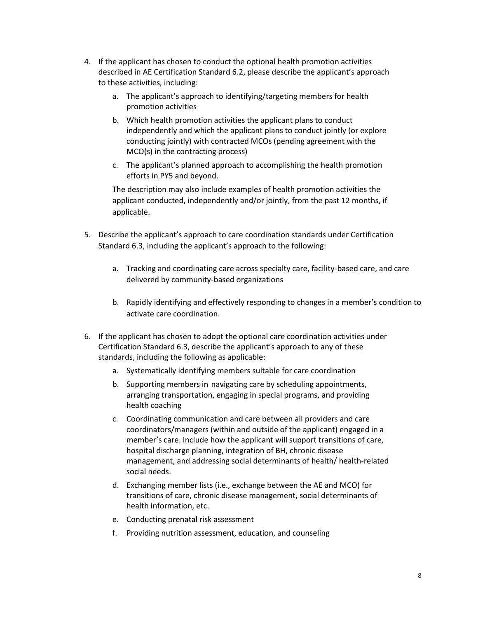- 4. If the applicant has chosen to conduct the optional health promotion activities described in AE Certification Standard 6.2, please describe the applicant's approach to these activities, including:
	- a. The applicant's approach to identifying/targeting members for health promotion activities
	- b. Which health promotion activities the applicant plans to conduct independently and which the applicant plans to conduct jointly (or explore conducting jointly) with contracted MCOs (pending agreement with the MCO(s) in the contracting process)
	- c. The applicant's planned approach to accomplishing the health promotion efforts in PY5 and beyond.

The description may also include examples of health promotion activities the applicant conducted, independently and/or jointly, from the past 12 months, if applicable.

- 5. Describe the applicant's approach to care coordination standards under Certification Standard 6.3, including the applicant's approach to the following:
	- a. Tracking and coordinating care across specialty care, facility-based care, and care delivered by community-based organizations
	- b. Rapidly identifying and effectively responding to changes in a member's condition to activate care coordination.
- 6. If the applicant has chosen to adopt the optional care coordination activities under Certification Standard 6.3, describe the applicant's approach to any of these standards, including the following as applicable:
	- a. Systematically identifying members suitable for care coordination
	- b. Supporting members in navigating care by scheduling appointments, arranging transportation, engaging in special programs, and providing health coaching
	- c. Coordinating communication and care between all providers and care coordinators/managers (within and outside of the applicant) engaged in a member's care. Include how the applicant will support transitions of care, hospital discharge planning, integration of BH, chronic disease management, and addressing social determinants of health/ health-related social needs.
	- d. Exchanging member lists (i.e., exchange between the AE and MCO) for transitions of care, chronic disease management, social determinants of health information, etc.
	- e. Conducting prenatal risk assessment
	- f. Providing nutrition assessment, education, and counseling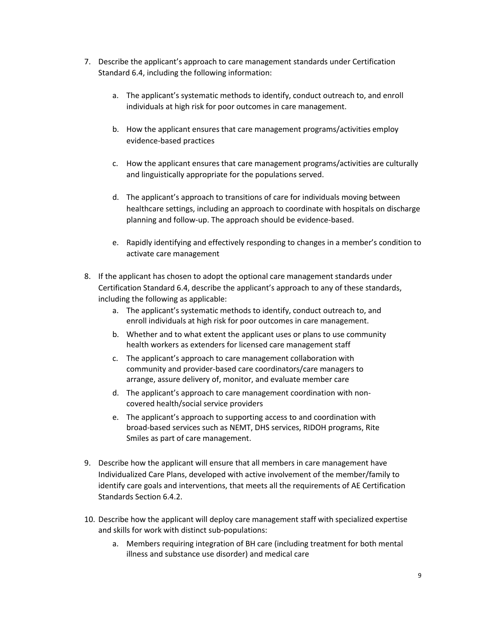- 7. Describe the applicant's approach to care management standards under Certification Standard 6.4, including the following information:
	- a. The applicant's systematic methods to identify, conduct outreach to, and enroll individuals at high risk for poor outcomes in care management.
	- b. How the applicant ensures that care management programs/activities employ evidence-based practices
	- c. How the applicant ensures that care management programs/activities are culturally and linguistically appropriate for the populations served.
	- d. The applicant's approach to transitions of care for individuals moving between healthcare settings, including an approach to coordinate with hospitals on discharge planning and follow-up. The approach should be evidence-based.
	- e. Rapidly identifying and effectively responding to changes in a member's condition to activate care management
- 8. If the applicant has chosen to adopt the optional care management standards under Certification Standard 6.4, describe the applicant's approach to any of these standards, including the following as applicable:
	- a. The applicant's systematic methods to identify, conduct outreach to, and enroll individuals at high risk for poor outcomes in care management.
	- b. Whether and to what extent the applicant uses or plans to use community health workers as extenders for licensed care management staff
	- c. The applicant's approach to care management collaboration with community and provider-based care coordinators/care managers to arrange, assure delivery of, monitor, and evaluate member care
	- d. The applicant's approach to care management coordination with noncovered health/social service providers
	- e. The applicant's approach to supporting access to and coordination with broad-based services such as NEMT, DHS services, RIDOH programs, Rite Smiles as part of care management.
- 9. Describe how the applicant will ensure that all members in care management have Individualized Care Plans, developed with active involvement of the member/family to identify care goals and interventions, that meets all the requirements of AE Certification Standards Section 6.4.2.
- 10. Describe how the applicant will deploy care management staff with specialized expertise and skills for work with distinct sub-populations:
	- a. Members requiring integration of BH care (including treatment for both mental illness and substance use disorder) and medical care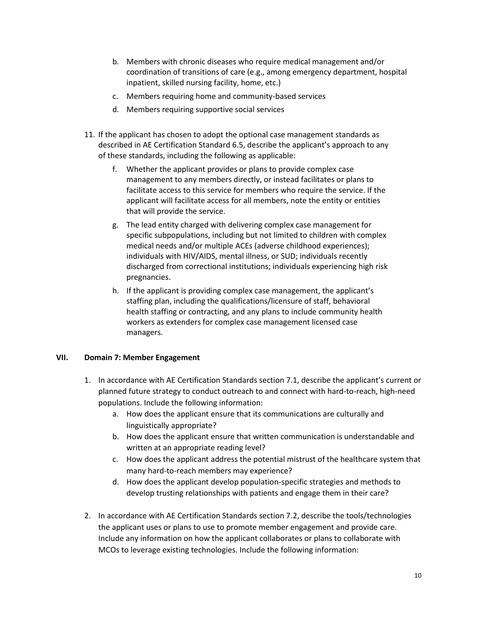- b. Members with chronic diseases who require medical management and/or coordination of transitions of care (e.g., among emergency department, hospital inpatient, skilled nursing facility, home, etc.)
- c. Members requiring home and community-based services
- d. Members requiring supportive social services
- 11. If the applicant has chosen to adopt the optional case management standards as described in AE Certification Standard 6.5, describe the applicant's approach to any of these standards, including the following as applicable:
	- f. Whether the applicant provides or plans to provide complex case management to any members directly, or instead facilitates or plans to facilitate access to this service for members who require the service. If the applicant will facilitate access for all members, note the entity or entities that will provide the service.
	- g. The lead entity charged with delivering complex case management for specific subpopulations, including but not limited to children with complex medical needs and/or multiple ACEs (adverse childhood experiences); individuals with HIV/AIDS, mental illness, or SUD; individuals recently discharged from correctional institutions; individuals experiencing high risk pregnancies.
	- h. If the applicant is providing complex case management, the applicant's staffing plan, including the qualifications/licensure of staff, behavioral health staffing or contracting, and any plans to include community health workers as extenders for complex case management licensed case managers.

#### **VII. Domain 7: Member Engagement**

- 1. In accordance with AE Certification Standards section 7.1, describe the applicant's current or planned future strategy to conduct outreach to and connect with hard-to-reach, high-need populations. Include the following information:
	- a. How does the applicant ensure that its communications are culturally and linguistically appropriate?
	- b. How does the applicant ensure that written communication is understandable and written at an appropriate reading level?
	- c. How does the applicant address the potential mistrust of the healthcare system that many hard-to-reach members may experience?
	- d. How does the applicant develop population-specific strategies and methods to develop trusting relationships with patients and engage them in their care?
- 2. In accordance with AE Certification Standards section 7.2, describe the tools/technologies the applicant uses or plans to use to promote member engagement and provide care. Include any information on how the applicant collaborates or plans to collaborate with MCOs to leverage existing technologies. Include the following information: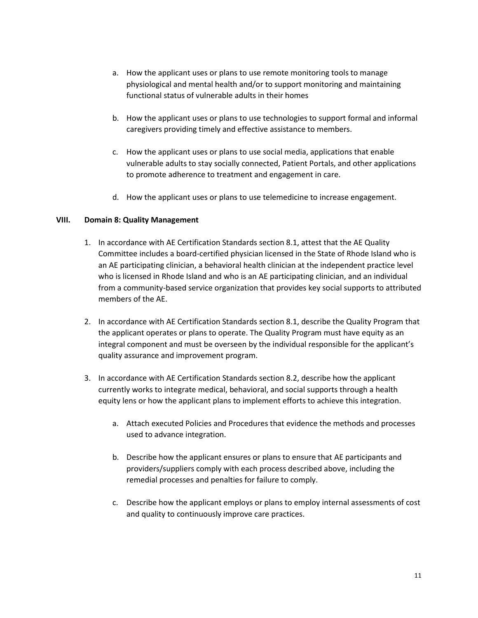- a. How the applicant uses or plans to use remote monitoring tools to manage physiological and mental health and/or to support monitoring and maintaining functional status of vulnerable adults in their homes
- b. How the applicant uses or plans to use technologies to support formal and informal caregivers providing timely and effective assistance to members.
- c. How the applicant uses or plans to use social media, applications that enable vulnerable adults to stay socially connected, Patient Portals, and other applications to promote adherence to treatment and engagement in care.
- d. How the applicant uses or plans to use telemedicine to increase engagement.

# **VIII. Domain 8: Quality Management**

- 1. In accordance with AE Certification Standards section 8.1, attest that the AE Quality Committee includes a board-certified physician licensed in the State of Rhode Island who is an AE participating clinician, a behavioral health clinician at the independent practice level who is licensed in Rhode Island and who is an AE participating clinician, and an individual from a community-based service organization that provides key social supports to attributed members of the AE.
- 2. In accordance with AE Certification Standards section 8.1, describe the Quality Program that the applicant operates or plans to operate. The Quality Program must have equity as an integral component and must be overseen by the individual responsible for the applicant's quality assurance and improvement program.
- 3. In accordance with AE Certification Standards section 8.2, describe how the applicant currently works to integrate medical, behavioral, and social supports through a health equity lens or how the applicant plans to implement efforts to achieve this integration.
	- a. Attach executed Policies and Procedures that evidence the methods and processes used to advance integration.
	- b. Describe how the applicant ensures or plans to ensure that AE participants and providers/suppliers comply with each process described above, including the remedial processes and penalties for failure to comply.
	- c. Describe how the applicant employs or plans to employ internal assessments of cost and quality to continuously improve care practices.